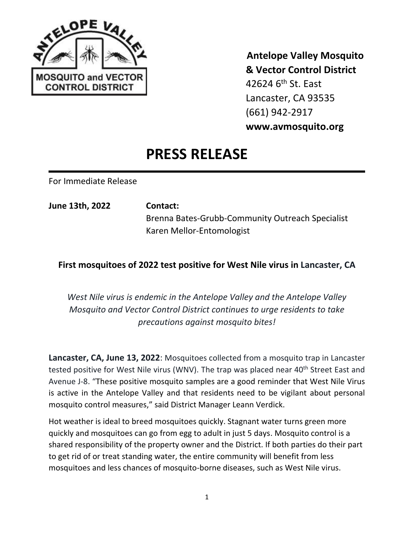

 **Antelope Valley Mosquito & Vector Control District** 42624 6<sup>th</sup> St. East Lancaster, CA 93535 (661) 942-2917 **www.avmosquito.org**

## **PRESS RELEASE**

For Immediate Release

**June 13th, 2022 Contact:** Brenna Bates-Grubb-Community Outreach Specialist Karen Mellor-Entomologist

## **First mosquitoes of 2022 test positive for West Nile virus in Lancaster, CA**

*West Nile virus is endemic in the Antelope Valley and the Antelope Valley Mosquito and Vector Control District continues to urge residents to take precautions against mosquito bites!*

**Lancaster, CA, June 13, 2022**: Mosquitoes collected from a mosquito trap in Lancaster tested positive for West Nile virus (WNV). The trap was placed near 40<sup>th</sup> Street East and Avenue J-8. "These positive mosquito samples are a good reminder that West Nile Virus is active in the Antelope Valley and that residents need to be vigilant about personal mosquito control measures," said District Manager Leann Verdick.

Hot weather is ideal to breed mosquitoes quickly. Stagnant water turns green more quickly and mosquitoes can go from egg to adult in just 5 days. Mosquito control is a shared responsibility of the property owner and the District. If both parties do their part to get rid of or treat standing water, the entire community will benefit from less mosquitoes and less chances of mosquito-borne diseases, such as West Nile virus.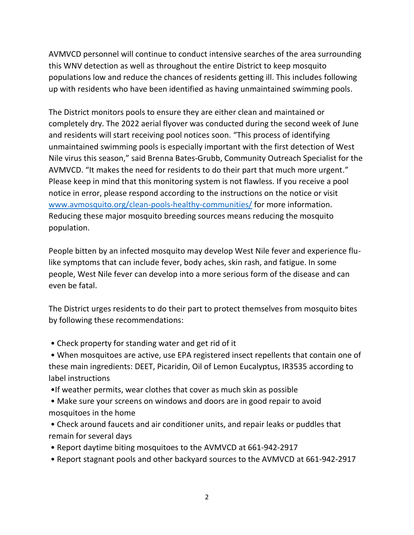AVMVCD personnel will continue to conduct intensive searches of the area surrounding this WNV detection as well as throughout the entire District to keep mosquito populations low and reduce the chances of residents getting ill. This includes following up with residents who have been identified as having unmaintained swimming pools.

The District monitors pools to ensure they are either clean and maintained or completely dry. The 2022 aerial flyover was conducted during the second week of June and residents will start receiving pool notices soon. "This process of identifying unmaintained swimming pools is especially important with the first detection of West Nile virus this season," said Brenna Bates-Grubb, Community Outreach Specialist for the AVMVCD. "It makes the need for residents to do their part that much more urgent." Please keep in mind that this monitoring system is not flawless. If you receive a pool notice in error, please respond according to the instructions on the notice or visit [www.avmosquito.org/clean-pools-healthy-communities/](http://www.avmosquito.org/clean-pools-healthy-communities/) for more information. Reducing these major mosquito breeding sources means reducing the mosquito population.

People bitten by an infected mosquito may develop West Nile fever and experience flulike symptoms that can include fever, body aches, skin rash, and fatigue. In some people, West Nile fever can develop into a more serious form of the disease and can even be fatal.

The District urges residents to do their part to protect themselves from mosquito bites by following these recommendations:

- Check property for standing water and get rid of it
- When mosquitoes are active, use EPA registered insect repellents that contain one of these main ingredients: DEET, Picaridin, Oil of Lemon Eucalyptus, IR3535 according to label instructions
- •If weather permits, wear clothes that cover as much skin as possible
- Make sure your screens on windows and doors are in good repair to avoid mosquitoes in the home
- Check around faucets and air conditioner units, and repair leaks or puddles that remain for several days
- Report daytime biting mosquitoes to the AVMVCD at 661-942-2917
- Report stagnant pools and other backyard sources to the AVMVCD at 661-942-2917